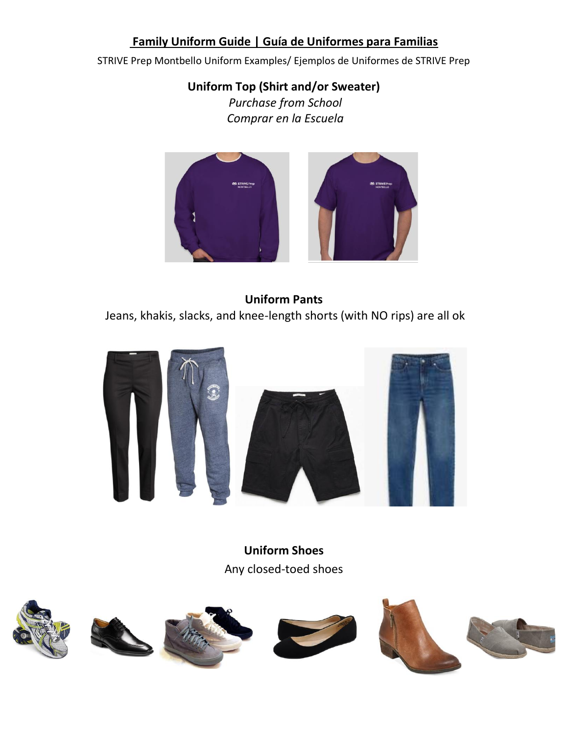## **Family Uniform Guide | Guía de Uniformes para Familias**

STRIVE Prep Montbello Uniform Examples/ Ejemplos de Uniformes de STRIVE Prep

## **Uniform Top (Shirt and/or Sweater)**

*Purchase from School Comprar en la Escuela*



#### **Uniform Pants**

Jeans, khakis, slacks, and knee-length shorts (with NO rips) are all ok



**Uniform Shoes** Any closed-toed shoes

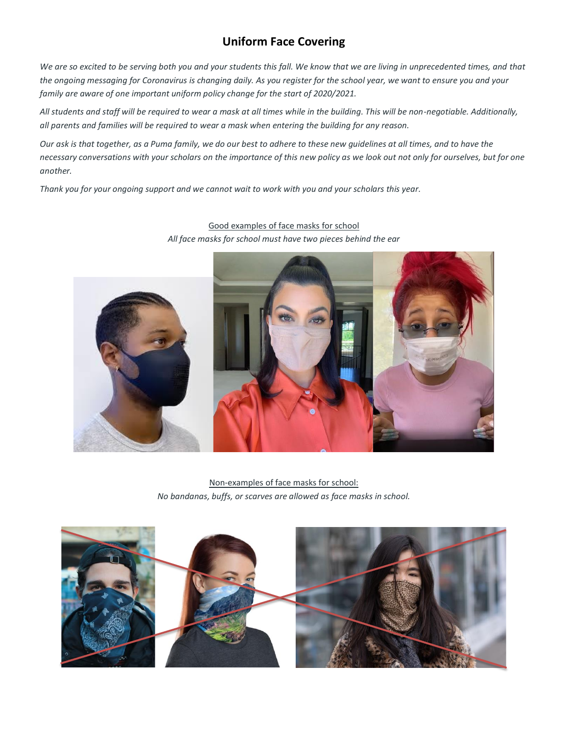### **Uniform Face Covering**

We are so excited to be serving both you and your students this fall. We know that we are living in unprecedented times, and that *the ongoing messaging for Coronavirus is changing daily. As you register for the school year, we want to ensure you and your family are aware of one important uniform policy change for the start of 2020/2021.* 

*All students and staff will be required to wear a mask at all times while in the building. This will be non-negotiable. Additionally, all parents and families will be required to wear a mask when entering the building for any reason.* 

*Our ask is that together, as a Puma family, we do our best to adhere to these new guidelines at all times, and to have the necessary conversations with your scholars on the importance of this new policy as we look out not only for ourselves, but for one another.* 

*Thank you for your ongoing support and we cannot wait to work with you and your scholars this year.* 



Good examples of face masks for school *All face masks for school must have two pieces behind the ear*

Non-examples of face masks for school: *No bandanas, buffs, or scarves are allowed as face masks in school.*